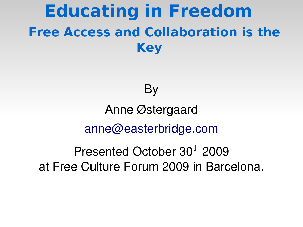# **Educating in Freedom Free Access and Collaboration is the Key**

#### **By**

### Anne Østergaard [anne@easterbridge.com](mailto:anne@easterbridge.com)

Presented October 30<sup>th</sup> 2009 at Free Culture Forum 2009 in Barcelona.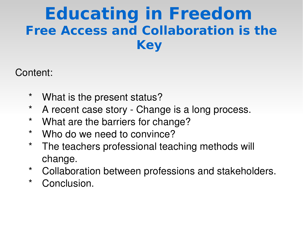# **Educating in Freedom Free Access and Collaboration is the Key**

#### Content:

- \* What is the present status?
- \* A recent case story Change is a long process.
- \* What are the barriers for change?
- \* Who do we need to convince?
- \* The teachers professional teaching methods will change.
- \* Collaboration between professions and stakeholders.
- \* Conclusion.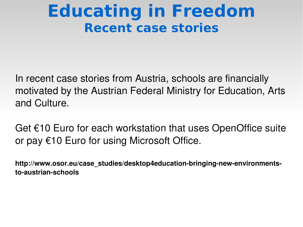## **Educating in Freedom Recent case stories**

In recent case stories from Austria, schools are financially motivated by the Austrian Federal Ministry for Education, Arts and Culture.

Get €10 Euro for each workstation that uses OpenOffice suite or pay €10 Euro for using Microsoft Office.

http://www.osor.eu/case\_studies/desktop4education-bringing-new-environments**toaustrianschools**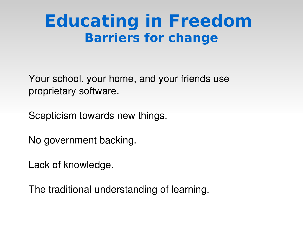# **Educating in Freedom Barriers for change**

Your school, your home, and your friends use proprietary software.

Scepticism towards new things.

No government backing.

Lack of knowledge.

The traditional understanding of learning.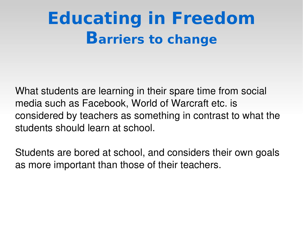# **Educating in Freedom Barriers to change**

What students are learning in their spare time from social media such as Facebook, World of Warcraft etc. is considered by teachers as something in contrast to what the students should learn at school.

Students are bored at school, and considers their own goals as more important than those of their teachers.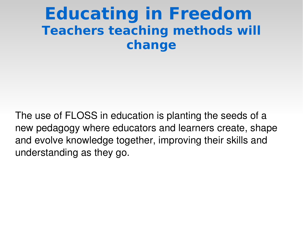#### **Educating in Freedom Teachers teaching methods will change**

The use of FLOSS in education is planting the seeds of a new pedagogy where educators and learners create, shape and evolve knowledge together, improving their skills and understanding as they go.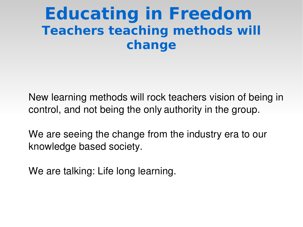### **Educating in Freedom Teachers teaching methods will change**

New learning methods will rock teachers vision of being in control, and not being the only authority in the group.

We are seeing the change from the industry era to our knowledge based society.

We are talking: Life long learning.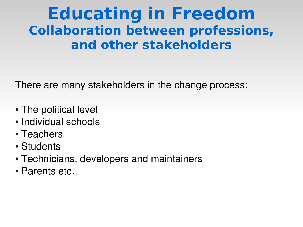### **Educating in Freedom Collaboration between professions, and other stakeholders**

There are many stakeholders in the change process:

- The political level
- Individual schools
- Teachers
- Students
- Technicians, developers and maintainers
- Parents etc.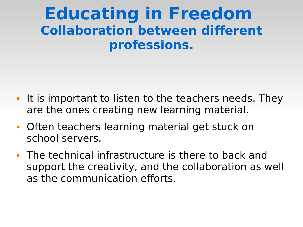#### **Educating in Freedom Collaboration between different professions.**

- I It is important to listen to the teachers needs. They are the ones creating new learning material.
- **Often teachers learning material get stuck on** school servers.
- The technical infrastructure is there to back and support the creativity, and the collaboration as well as the communication efforts.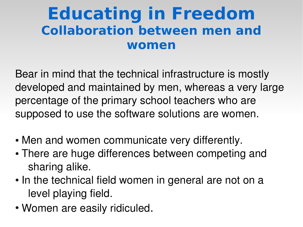### **Educating in Freedom Collaboration between men and women**

Bear in mind that the technical infrastructure is mostly developed and maintained by men, whereas a very large percentage of the primary school teachers who are supposed to use the software solutions are women.

- Men and women communicate very differently.
- There are huge differences between competing and sharing alike.
- In the technical field women in general are not on a level playing field.
- Women are easily ridiculed.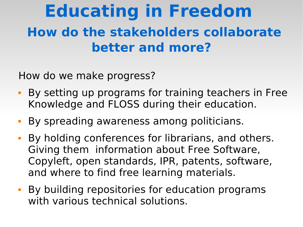# **Educating in Freedom How do the stakeholders collaborate better and more?**

How do we make progress?

- By setting up programs for training teachers in Free Knowledge and FLOSS during their education.
- By spreading awareness among politicians.
- By holding conferences for librarians, and others. Giving them information about Free Software, Copyleft, open standards, IPR, patents, software, and where to find free learning materials.
- By building repositories for education programs with various technical solutions.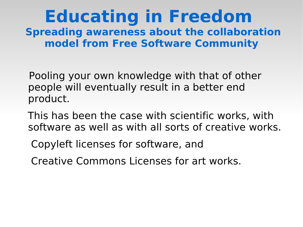#### **Educating in Freedom Spreading awareness about the collaboration model from Free Software Community**

Pooling your own knowledge with that of other people will eventually result in a better end product.

 This has been the case with scientific works, with software as well as with all sorts of creative works.

Copyleft licenses for software, and

Creative Commons Licenses for art works.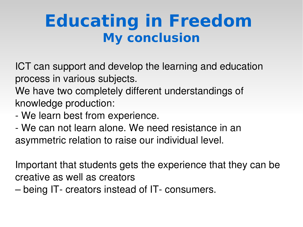ICT can support and develop the learning and education process in various subjects.

We have two completely different understandings of knowledge production:

- We learn best from experience.
- We can not learn alone. We need resistance in an asymmetric relation to raise our individual level.

Important that students gets the experience that they can be creative as well as creators

– being IT- creators instead of IT- consumers.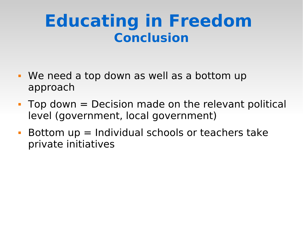- We need a top down as well as a bottom up approach
- $\blacksquare$  Top down  $=$  Decision made on the relevant political level (government, local government)
- Bottom  $up =$  Individual schools or teachers take private initiatives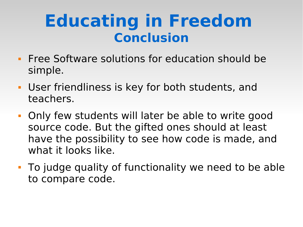- **Figure 20 Figure 10 Figure 20 Figure 20 Figure 20 Figure 20 Figure 20 Figure 20 Figure 20 Figure 20 Figure 20 Figure 20 Figure 20 Figure 20 Figure 20 Figure 20 Figure 20 Figure 20 Figure 20 Figure 20 Figure 20 Figure 20 F** simple.
- User friendliness is key for both students, and teachers.
- Only few students will later be able to write good source code. But the gifted ones should at least have the possibility to see how code is made, and what it looks like.
- To judge quality of functionality we need to be able to compare code.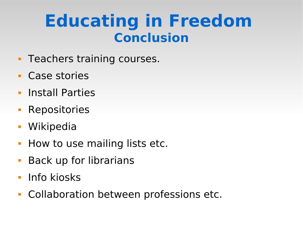- **Teachers training courses.**
- Case stories
- **Install Parties**
- **Repositories**
- Wikipedia
- **How to use mailing lists etc.**
- **Back up for librarians**
- **Info kiosks**
- **Collaboration between professions etc.**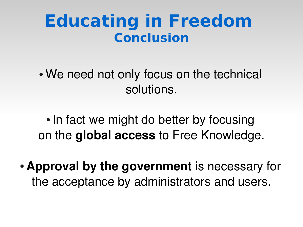• We need not only focus on the technical solutions.

• In fact we might do better by focusing on the **global access** to Free Knowledge.

• **Approval by the government** is necessary for the acceptance by administrators and users.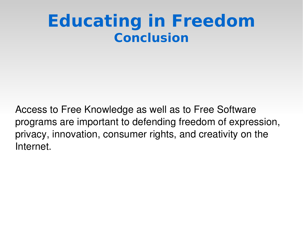Access to Free Knowledge as well as to Free Software programs are important to defending freedom of expression, privacy, innovation, consumer rights, and creativity on the Internet.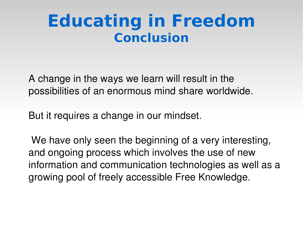A change in the ways we learn will result in the possibilities of an enormous mind share worldwide.

But it requires a change in our mindset.

We have only seen the beginning of a very interesting, and ongoing process which involves the use of new information and communication technologies as well as a growing pool of freely accessible Free Knowledge.